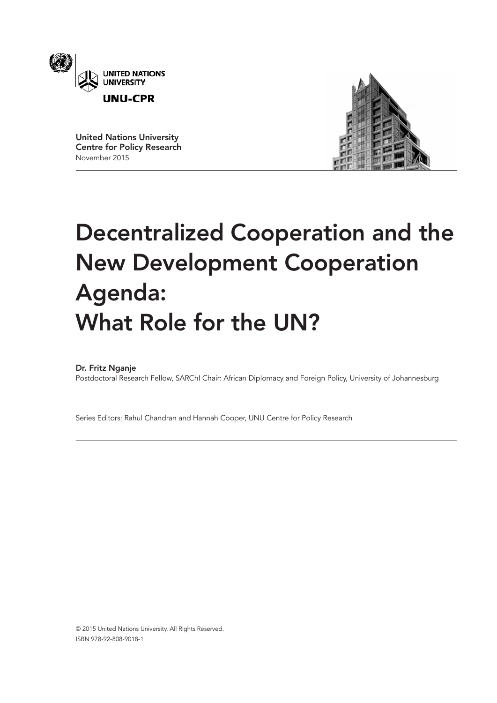

United Nations University Centre for Policy Research November 2015



# Decentralized Cooperation and the New Development Cooperation Agenda: What Role for the UN?

## Dr. Fritz Nganje

Postdoctoral Research Fellow, SARChI Chair: African Diplomacy and Foreign Policy, University of Johannesburg

Series Editors: Rahul Chandran and Hannah Cooper, UNU Centre for Policy Research

© 2015 United Nations University. All Rights Reserved. ISBN 978-92-808-9018-1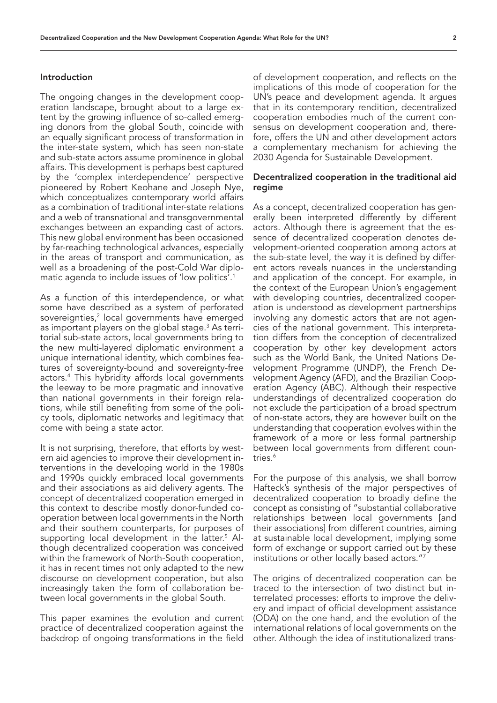#### Introduction

The ongoing changes in the development cooperation landscape, brought about to a large extent by the growing influence of so-called emerging donors from the global South, coincide with an equally significant process of transformation in the inter-state system, which has seen non-state and sub-state actors assume prominence in global affairs. This development is perhaps best captured by the 'complex interdependence' perspective pioneered by Robert Keohane and Joseph Nye, which conceptualizes contemporary world affairs as a combination of traditional inter-state relations and a web of transnational and transgovernmental exchanges between an expanding cast of actors. This new global environment has been occasioned by far-reaching technological advances, especially in the areas of transport and communication, as well as a broadening of the post-Cold War diplomatic agenda to include issues of 'low politics'.1

As a function of this interdependence, or what some have described as a system of perforated sovereignties,2 local governments have emerged as important players on the global stage.<sup>3</sup> As territorial sub-state actors, local governments bring to the new multi-layered diplomatic environment a unique international identity, which combines features of sovereignty-bound and sovereignty-free actors.4 This hybridity affords local governments the leeway to be more pragmatic and innovative than national governments in their foreign relations, while still benefiting from some of the policy tools, diplomatic networks and legitimacy that come with being a state actor.

It is not surprising, therefore, that efforts by western aid agencies to improve their development interventions in the developing world in the 1980s and 1990s quickly embraced local governments and their associations as aid delivery agents. The concept of decentralized cooperation emerged in this context to describe mostly donor-funded cooperation between local governments in the North and their southern counterparts, for purposes of supporting local development in the latter.<sup>5</sup> Although decentralized cooperation was conceived within the framework of North-South cooperation, it has in recent times not only adapted to the new discourse on development cooperation, but also increasingly taken the form of collaboration between local governments in the global South.

This paper examines the evolution and current practice of decentralized cooperation against the backdrop of ongoing transformations in the field

of development cooperation, and reflects on the implications of this mode of cooperation for the UN's peace and development agenda. It argues that in its contemporary rendition, decentralized cooperation embodies much of the current consensus on development cooperation and, therefore, offers the UN and other development actors a complementary mechanism for achieving the 2030 Agenda for Sustainable Development.

#### Decentralized cooperation in the traditional aid regime

As a concept, decentralized cooperation has generally been interpreted differently by different actors. Although there is agreement that the essence of decentralized cooperation denotes development-oriented cooperation among actors at the sub-state level, the way it is defined by different actors reveals nuances in the understanding and application of the concept. For example, in the context of the European Union's engagement with developing countries, decentralized cooperation is understood as development partnerships involving any domestic actors that are not agencies of the national government. This interpretation differs from the conception of decentralized cooperation by other key development actors such as the World Bank, the United Nations Development Programme (UNDP), the French Development Agency (AFD), and the Brazilian Cooperation Agency (ABC). Although their respective understandings of decentralized cooperation do not exclude the participation of a broad spectrum of non-state actors, they are however built on the understanding that cooperation evolves within the framework of a more or less formal partnership between local governments from different countries.<sup>6</sup>

For the purpose of this analysis, we shall borrow Hafteck's synthesis of the major perspectives of decentralized cooperation to broadly define the concept as consisting of "substantial collaborative relationships between local governments [and their associations] from different countries, aiming at sustainable local development, implying some form of exchange or support carried out by these institutions or other locally based actors."7

The origins of decentralized cooperation can be traced to the intersection of two distinct but interrelated processes: efforts to improve the delivery and impact of official development assistance (ODA) on the one hand, and the evolution of the international relations of local governments on the other. Although the idea of institutionalized trans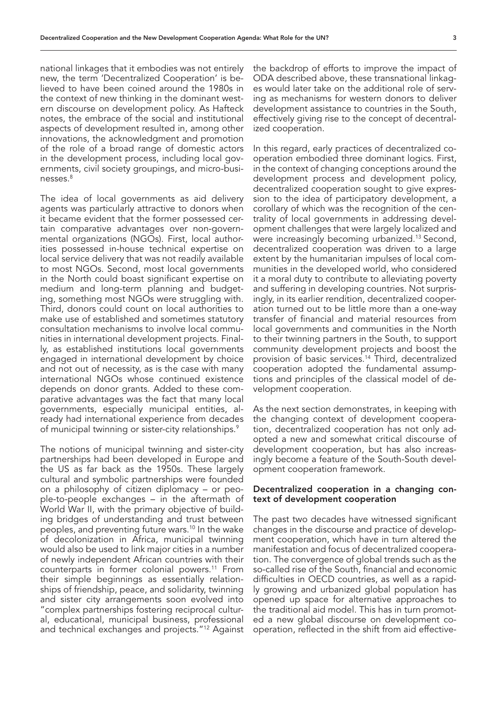national linkages that it embodies was not entirely new, the term 'Decentralized Cooperation' is believed to have been coined around the 1980s in the context of new thinking in the dominant western discourse on development policy. As Hafteck notes, the embrace of the social and institutional aspects of development resulted in, among other innovations, the acknowledgment and promotion of the role of a broad range of domestic actors in the development process, including local governments, civil society groupings, and micro-businesses.8

The idea of local governments as aid delivery agents was particularly attractive to donors when it became evident that the former possessed certain comparative advantages over non-governmental organizations (NGOs). First, local authorities possessed in-house technical expertise on local service delivery that was not readily available to most NGOs. Second, most local governments in the North could boast significant expertise on medium and long-term planning and budgeting, something most NGOs were struggling with. Third, donors could count on local authorities to make use of established and sometimes statutory consultation mechanisms to involve local communities in international development projects. Finally, as established institutions local governments engaged in international development by choice and not out of necessity, as is the case with many international NGOs whose continued existence depends on donor grants. Added to these comparative advantages was the fact that many local governments, especially municipal entities, already had international experience from decades of municipal twinning or sister-city relationships.<sup>9</sup>

The notions of municipal twinning and sister-city partnerships had been developed in Europe and the US as far back as the 1950s. These largely cultural and symbolic partnerships were founded on a philosophy of citizen diplomacy – or people-to-people exchanges – in the aftermath of World War II, with the primary objective of building bridges of understanding and trust between peoples, and preventing future wars.<sup>10</sup> In the wake of decolonization in Africa, municipal twinning would also be used to link major cities in a number of newly independent African countries with their counterparts in former colonial powers.11 From their simple beginnings as essentially relationships of friendship, peace, and solidarity, twinning and sister city arrangements soon evolved into "complex partnerships fostering reciprocal cultural, educational, municipal business, professional and technical exchanges and projects."12 Against the backdrop of efforts to improve the impact of ODA described above, these transnational linkages would later take on the additional role of serving as mechanisms for western donors to deliver development assistance to countries in the South, effectively giving rise to the concept of decentralized cooperation.

In this regard, early practices of decentralized cooperation embodied three dominant logics. First, in the context of changing conceptions around the development process and development policy, decentralized cooperation sought to give expression to the idea of participatory development, a corollary of which was the recognition of the centrality of local governments in addressing development challenges that were largely localized and were increasingly becoming urbanized.13 Second, decentralized cooperation was driven to a large extent by the humanitarian impulses of local communities in the developed world, who considered it a moral duty to contribute to alleviating poverty and suffering in developing countries. Not surprisingly, in its earlier rendition, decentralized cooperation turned out to be little more than a one-way transfer of financial and material resources from local governments and communities in the North to their twinning partners in the South, to support community development projects and boost the provision of basic services.14 Third, decentralized cooperation adopted the fundamental assumptions and principles of the classical model of development cooperation.

As the next section demonstrates, in keeping with the changing context of development cooperation, decentralized cooperation has not only adopted a new and somewhat critical discourse of development cooperation, but has also increasingly become a feature of the South-South development cooperation framework.

#### Decentralized cooperation in a changing context of development cooperation

The past two decades have witnessed significant changes in the discourse and practice of development cooperation, which have in turn altered the manifestation and focus of decentralized cooperation. The convergence of global trends such as the so-called rise of the South, financial and economic difficulties in OECD countries, as well as a rapidly growing and urbanized global population has opened up space for alternative approaches to the traditional aid model. This has in turn promoted a new global discourse on development cooperation, reflected in the shift from aid effective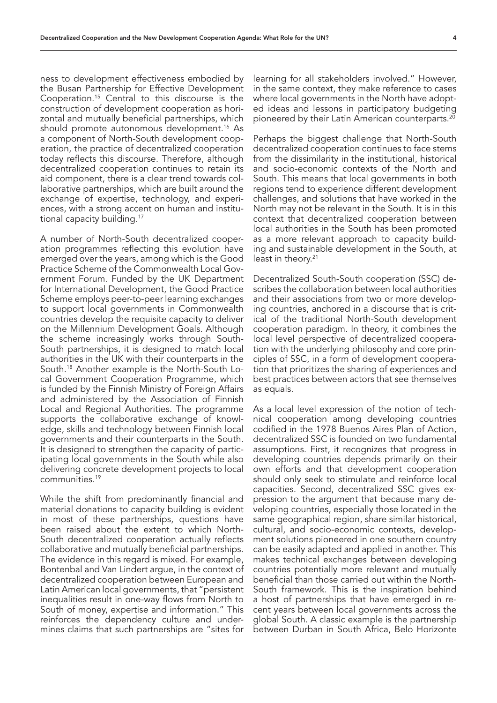ness to development effectiveness embodied by the Busan Partnership for Effective Development Cooperation.15 Central to this discourse is the construction of development cooperation as horizontal and mutually beneficial partnerships, which should promote autonomous development.<sup>16</sup> As a component of North-South development cooperation, the practice of decentralized cooperation today reflects this discourse. Therefore, although decentralized cooperation continues to retain its aid component, there is a clear trend towards collaborative partnerships, which are built around the exchange of expertise, technology, and experiences, with a strong accent on human and institutional capacity building.<sup>17</sup>

A number of North-South decentralized cooperation programmes reflecting this evolution have emerged over the years, among which is the Good Practice Scheme of the Commonwealth Local Government Forum. Funded by the UK Department for International Development, the Good Practice Scheme employs peer-to-peer learning exchanges to support local governments in Commonwealth countries develop the requisite capacity to deliver on the Millennium Development Goals. Although the scheme increasingly works through South-South partnerships, it is designed to match local authorities in the UK with their counterparts in the South.18 Another example is the North-South Local Government Cooperation Programme, which is funded by the Finnish Ministry of Foreign Affairs and administered by the Association of Finnish Local and Regional Authorities. The programme supports the collaborative exchange of knowledge, skills and technology between Finnish local governments and their counterparts in the South. It is designed to strengthen the capacity of participating local governments in the South while also delivering concrete development projects to local communities.19

While the shift from predominantly financial and material donations to capacity building is evident in most of these partnerships, questions have been raised about the extent to which North-South decentralized cooperation actually reflects collaborative and mutually beneficial partnerships. The evidence in this regard is mixed. For example, Bontenbal and Van Lindert argue, in the context of decentralized cooperation between European and Latin American local governments, that "persistent inequalities result in one-way flows from North to South of money, expertise and information." This reinforces the dependency culture and undermines claims that such partnerships are "sites for learning for all stakeholders involved." However, in the same context, they make reference to cases where local governments in the North have adopted ideas and lessons in participatory budgeting pioneered by their Latin American counterparts.20

Perhaps the biggest challenge that North-South decentralized cooperation continues to face stems from the dissimilarity in the institutional, historical and socio-economic contexts of the North and South. This means that local governments in both regions tend to experience different development challenges, and solutions that have worked in the North may not be relevant in the South. It is in this context that decentralized cooperation between local authorities in the South has been promoted as a more relevant approach to capacity building and sustainable development in the South, at least in theory.<sup>21</sup>

Decentralized South-South cooperation (SSC) describes the collaboration between local authorities and their associations from two or more developing countries, anchored in a discourse that is critical of the traditional North-South development cooperation paradigm. In theory, it combines the local level perspective of decentralized cooperation with the underlying philosophy and core principles of SSC, in a form of development cooperation that prioritizes the sharing of experiences and best practices between actors that see themselves as equals.

As a local level expression of the notion of technical cooperation among developing countries codified in the 1978 Buenos Aires Plan of Action, decentralized SSC is founded on two fundamental assumptions. First, it recognizes that progress in developing countries depends primarily on their own efforts and that development cooperation should only seek to stimulate and reinforce local capacities. Second, decentralized SSC gives expression to the argument that because many developing countries, especially those located in the same geographical region, share similar historical, cultural, and socio-economic contexts, development solutions pioneered in one southern country can be easily adapted and applied in another. This makes technical exchanges between developing countries potentially more relevant and mutually beneficial than those carried out within the North-South framework. This is the inspiration behind a host of partnerships that have emerged in recent years between local governments across the global South. A classic example is the partnership between Durban in South Africa, Belo Horizonte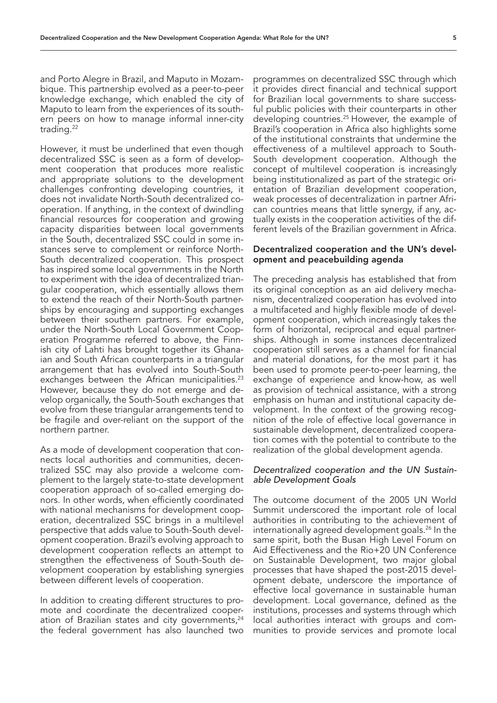and Porto Alegre in Brazil, and Maputo in Mozambique. This partnership evolved as a peer-to-peer knowledge exchange, which enabled the city of Maputo to learn from the experiences of its southern peers on how to manage informal inner-city trading.<sup>22</sup>

However, it must be underlined that even though decentralized SSC is seen as a form of development cooperation that produces more realistic and appropriate solutions to the development challenges confronting developing countries, it does not invalidate North-South decentralized cooperation. If anything, in the context of dwindling financial resources for cooperation and growing capacity disparities between local governments in the South, decentralized SSC could in some instances serve to complement or reinforce North-South decentralized cooperation. This prospect has inspired some local governments in the North to experiment with the idea of decentralized triangular cooperation, which essentially allows them to extend the reach of their North-South partnerships by encouraging and supporting exchanges between their southern partners. For example, under the North-South Local Government Cooperation Programme referred to above, the Finnish city of Lahti has brought together its Ghanaian and South African counterparts in a triangular arrangement that has evolved into South-South exchanges between the African municipalities.<sup>23</sup> However, because they do not emerge and develop organically, the South-South exchanges that evolve from these triangular arrangements tend to be fragile and over-reliant on the support of the northern partner.

As a mode of development cooperation that connects local authorities and communities, decentralized SSC may also provide a welcome complement to the largely state-to-state development cooperation approach of so-called emerging donors. In other words, when efficiently coordinated with national mechanisms for development cooperation, decentralized SSC brings in a multilevel perspective that adds value to South-South development cooperation. Brazil's evolving approach to development cooperation reflects an attempt to strengthen the effectiveness of South-South development cooperation by establishing synergies between different levels of cooperation.

In addition to creating different structures to promote and coordinate the decentralized cooperation of Brazilian states and city governments, $24$ the federal government has also launched two

programmes on decentralized SSC through which it provides direct financial and technical support for Brazilian local governments to share successful public policies with their counterparts in other developing countries.25 However, the example of Brazil's cooperation in Africa also highlights some of the institutional constraints that undermine the effectiveness of a multilevel approach to South-South development cooperation. Although the concept of multilevel cooperation is increasingly being institutionalized as part of the strategic orientation of Brazilian development cooperation, weak processes of decentralization in partner African countries means that little synergy, if any, actually exists in the cooperation activities of the different levels of the Brazilian government in Africa.

#### Decentralized cooperation and the UN's development and peacebuilding agenda

The preceding analysis has established that from its original conception as an aid delivery mechanism, decentralized cooperation has evolved into a multifaceted and highly flexible mode of development cooperation, which increasingly takes the form of horizontal, reciprocal and equal partnerships. Although in some instances decentralized cooperation still serves as a channel for financial and material donations, for the most part it has been used to promote peer-to-peer learning, the exchange of experience and know-how, as well as provision of technical assistance, with a strong emphasis on human and institutional capacity development. In the context of the growing recognition of the role of effective local governance in sustainable development, decentralized cooperation comes with the potential to contribute to the realization of the global development agenda.

### *Decentralized cooperation and the UN Sustainable Development Goals*

The outcome document of the 2005 UN World Summit underscored the important role of local authorities in contributing to the achievement of internationally agreed development goals.<sup>26</sup> In the same spirit, both the Busan High Level Forum on Aid Effectiveness and the Rio+20 UN Conference on Sustainable Development, two major global processes that have shaped the post-2015 development debate, underscore the importance of effective local governance in sustainable human development. Local governance, defined as the institutions, processes and systems through which local authorities interact with groups and communities to provide services and promote local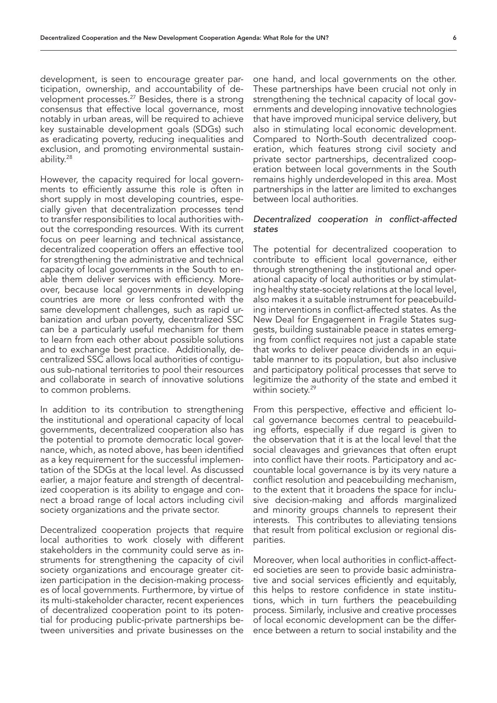development, is seen to encourage greater participation, ownership, and accountability of development processes.<sup>27</sup> Besides, there is a strong consensus that effective local governance, most notably in urban areas, will be required to achieve key sustainable development goals (SDGs) such as eradicating poverty, reducing inequalities and exclusion, and promoting environmental sustainability.28

However, the capacity required for local governments to efficiently assume this role is often in short supply in most developing countries, especially given that decentralization processes tend to transfer responsibilities to local authorities without the corresponding resources. With its current focus on peer learning and technical assistance, decentralized cooperation offers an effective tool for strengthening the administrative and technical capacity of local governments in the South to enable them deliver services with efficiency. Moreover, because local governments in developing countries are more or less confronted with the same development challenges, such as rapid urbanization and urban poverty, decentralized SSC can be a particularly useful mechanism for them to learn from each other about possible solutions and to exchange best practice. Additionally, decentralized SSC allows local authorities of contiguous sub-national territories to pool their resources and collaborate in search of innovative solutions to common problems.

In addition to its contribution to strengthening the institutional and operational capacity of local governments, decentralized cooperation also has the potential to promote democratic local governance, which, as noted above, has been identified as a key requirement for the successful implementation of the SDGs at the local level. As discussed earlier, a major feature and strength of decentralized cooperation is its ability to engage and connect a broad range of local actors including civil society organizations and the private sector.

Decentralized cooperation projects that require local authorities to work closely with different stakeholders in the community could serve as instruments for strengthening the capacity of civil society organizations and encourage greater citizen participation in the decision-making processes of local governments. Furthermore, by virtue of its multi-stakeholder character, recent experiences of decentralized cooperation point to its potential for producing public-private partnerships between universities and private businesses on the

one hand, and local governments on the other. These partnerships have been crucial not only in strengthening the technical capacity of local governments and developing innovative technologies that have improved municipal service delivery, but also in stimulating local economic development. Compared to North-South decentralized cooperation, which features strong civil society and private sector partnerships, decentralized cooperation between local governments in the South remains highly underdeveloped in this area. Most partnerships in the latter are limited to exchanges between local authorities.

#### *Decentralized cooperation in conflict-affected states*

The potential for decentralized cooperation to contribute to efficient local governance, either through strengthening the institutional and operational capacity of local authorities or by stimulating healthy state-society relations at the local level, also makes it a suitable instrument for peacebuilding interventions in conflict-affected states. As the New Deal for Engagement in Fragile States suggests, building sustainable peace in states emerging from conflict requires not just a capable state that works to deliver peace dividends in an equitable manner to its population, but also inclusive and participatory political processes that serve to legitimize the authority of the state and embed it within society.<sup>29</sup>

From this perspective, effective and efficient local governance becomes central to peacebuilding efforts, especially if due regard is given to the observation that it is at the local level that the social cleavages and grievances that often erupt into conflict have their roots. Participatory and accountable local governance is by its very nature a conflict resolution and peacebuilding mechanism, to the extent that it broadens the space for inclusive decision-making and affords marginalized and minority groups channels to represent their interests. This contributes to alleviating tensions that result from political exclusion or regional disparities.

Moreover, when local authorities in conflict-affected societies are seen to provide basic administrative and social services efficiently and equitably, this helps to restore confidence in state institutions, which in turn furthers the peacebuilding process. Similarly, inclusive and creative processes of local economic development can be the difference between a return to social instability and the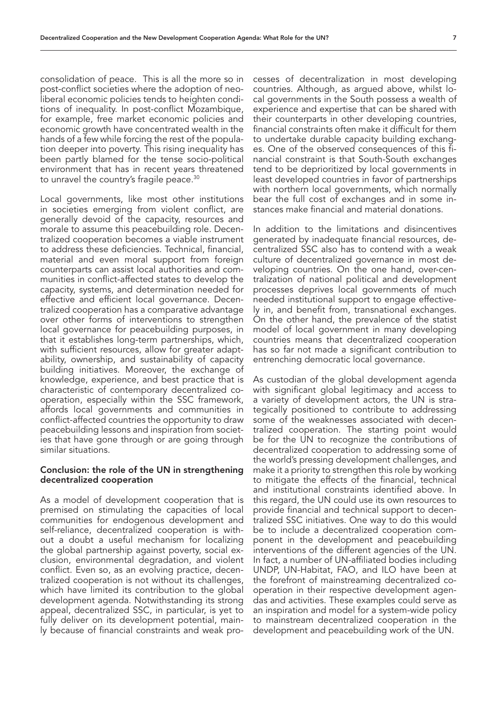consolidation of peace. This is all the more so in post-conflict societies where the adoption of neoliberal economic policies tends to heighten conditions of inequality. In post-conflict Mozambique, for example, free market economic policies and economic growth have concentrated wealth in the hands of a few while forcing the rest of the population deeper into poverty. This rising inequality has been partly blamed for the tense socio-political environment that has in recent years threatened to unravel the country's fragile peace.<sup>30</sup>

Local governments, like most other institutions in societies emerging from violent conflict, are generally devoid of the capacity, resources and morale to assume this peacebuilding role. Decentralized cooperation becomes a viable instrument to address these deficiencies. Technical, financial, material and even moral support from foreign counterparts can assist local authorities and communities in conflict-affected states to develop the capacity, systems, and determination needed for effective and efficient local governance. Decentralized cooperation has a comparative advantage over other forms of interventions to strengthen local governance for peacebuilding purposes, in that it establishes long-term partnerships, which, with sufficient resources, allow for greater adaptability, ownership, and sustainability of capacity building initiatives. Moreover, the exchange of knowledge, experience, and best practice that is characteristic of contemporary decentralized cooperation, especially within the SSC framework, affords local governments and communities in conflict-affected countries the opportunity to draw peacebuilding lessons and inspiration from societies that have gone through or are going through similar situations.

#### Conclusion: the role of the UN in strengthening decentralized cooperation

As a model of development cooperation that is premised on stimulating the capacities of local communities for endogenous development and self-reliance, decentralized cooperation is without a doubt a useful mechanism for localizing the global partnership against poverty, social exclusion, environmental degradation, and violent conflict. Even so, as an evolving practice, decentralized cooperation is not without its challenges, which have limited its contribution to the global development agenda. Notwithstanding its strong appeal, decentralized SSC, in particular, is yet to fully deliver on its development potential, mainly because of financial constraints and weak processes of decentralization in most developing countries. Although, as argued above, whilst local governments in the South possess a wealth of experience and expertise that can be shared with their counterparts in other developing countries, financial constraints often make it difficult for them to undertake durable capacity building exchanges. One of the observed consequences of this financial constraint is that South-South exchanges tend to be deprioritized by local governments in least developed countries in favor of partnerships with northern local governments, which normally bear the full cost of exchanges and in some instances make financial and material donations.

In addition to the limitations and disincentives generated by inadequate financial resources, decentralized SSC also has to contend with a weak culture of decentralized governance in most developing countries. On the one hand, over-centralization of national political and development processes deprives local governments of much needed institutional support to engage effectively in, and benefit from, transnational exchanges. On the other hand, the prevalence of the statist model of local government in many developing countries means that decentralized cooperation has so far not made a significant contribution to entrenching democratic local governance.

As custodian of the global development agenda with significant global legitimacy and access to a variety of development actors, the UN is strategically positioned to contribute to addressing some of the weaknesses associated with decentralized cooperation. The starting point would be for the UN to recognize the contributions of decentralized cooperation to addressing some of the world's pressing development challenges, and make it a priority to strengthen this role by working to mitigate the effects of the financial, technical and institutional constraints identified above. In this regard, the UN could use its own resources to provide financial and technical support to decentralized SSC initiatives. One way to do this would be to include a decentralized cooperation component in the development and peacebuilding interventions of the different agencies of the UN. In fact, a number of UN-affiliated bodies including UNDP, UN-Habitat, FAO, and ILO have been at the forefront of mainstreaming decentralized cooperation in their respective development agendas and activities. These examples could serve as an inspiration and model for a system-wide policy to mainstream decentralized cooperation in the development and peacebuilding work of the UN.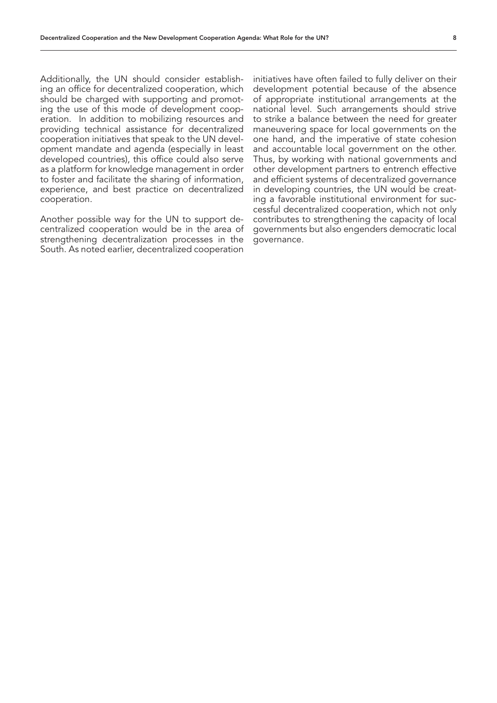Additionally, the UN should consider establishing an office for decentralized cooperation, which should be charged with supporting and promoting the use of this mode of development cooperation. In addition to mobilizing resources and providing technical assistance for decentralized cooperation initiatives that speak to the UN development mandate and agenda (especially in least developed countries), this office could also serve as a platform for knowledge management in order to foster and facilitate the sharing of information, experience, and best practice on decentralized cooperation.

Another possible way for the UN to support decentralized cooperation would be in the area of strengthening decentralization processes in the South. As noted earlier, decentralized cooperation

initiatives have often failed to fully deliver on their development potential because of the absence of appropriate institutional arrangements at the national level. Such arrangements should strive to strike a balance between the need for greater maneuvering space for local governments on the one hand, and the imperative of state cohesion and accountable local government on the other. Thus, by working with national governments and other development partners to entrench effective and efficient systems of decentralized governance in developing countries, the UN would be creating a favorable institutional environment for successful decentralized cooperation, which not only contributes to strengthening the capacity of local governments but also engenders democratic local governance.